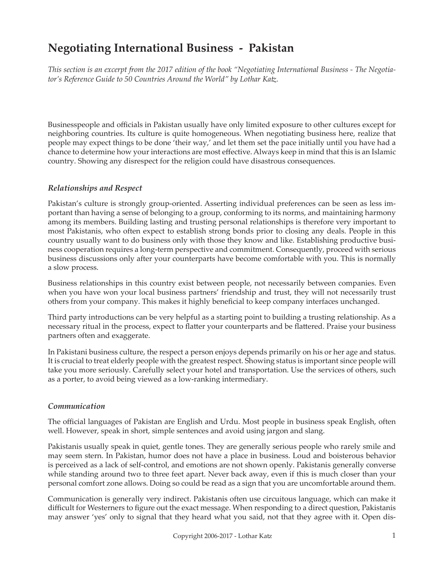# **Negotiating International Business - Pakistan**

*This section is an excerpt from the 2017 edition of the book "Negotiating International Business - The Negotiator's Reference Guide to 50 Countries Around the World" by Lothar Katz.*

Businesspeople and officials in Pakistan usually have only limited exposure to other cultures except for neighboring countries. Its culture is quite homogeneous. When negotiating business here, realize that people may expect things to be done 'their way,' and let them set the pace initially until you have had a chance to determine how your interactions are most effective. Always keep in mind that this is an Islamic country. Showing any disrespect for the religion could have disastrous consequences.

### *Relationships and Respect*

Pakistan's culture is strongly group-oriented. Asserting individual preferences can be seen as less important than having a sense of belonging to a group, conforming to its norms, and maintaining harmony among its members. Building lasting and trusting personal relationships is therefore very important to most Pakistanis, who often expect to establish strong bonds prior to closing any deals. People in this country usually want to do business only with those they know and like. Establishing productive business cooperation requires a long-term perspective and commitment. Consequently, proceed with serious business discussions only after your counterparts have become comfortable with you. This is normally a slow process.

Business relationships in this country exist between people, not necessarily between companies. Even when you have won your local business partners' friendship and trust, they will not necessarily trust others from your company. This makes it highly beneficial to keep company interfaces unchanged.

Third party introductions can be very helpful as a starting point to building a trusting relationship. As a necessary ritual in the process, expect to flatter your counterparts and be flattered. Praise your business partners often and exaggerate.

In Pakistani business culture, the respect a person enjoys depends primarily on his or her age and status. It is crucial to treat elderly people with the greatest respect. Showing status is important since people will take you more seriously. Carefully select your hotel and transportation. Use the services of others, such as a porter, to avoid being viewed as a low-ranking intermediary.

# *Communication*

The official languages of Pakistan are English and Urdu. Most people in business speak English, often well. However, speak in short, simple sentences and avoid using jargon and slang.

Pakistanis usually speak in quiet, gentle tones. They are generally serious people who rarely smile and may seem stern. In Pakistan, humor does not have a place in business. Loud and boisterous behavior is perceived as a lack of self-control, and emotions are not shown openly. Pakistanis generally converse while standing around two to three feet apart. Never back away, even if this is much closer than your personal comfort zone allows. Doing so could be read as a sign that you are uncomfortable around them.

Communication is generally very indirect. Pakistanis often use circuitous language, which can make it difficult for Westerners to figure out the exact message. When responding to a direct question, Pakistanis may answer 'yes' only to signal that they heard what you said, not that they agree with it. Open dis-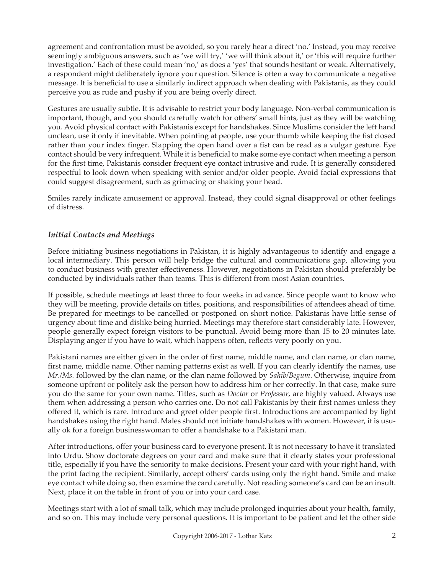agreement and confrontation must be avoided, so you rarely hear a direct 'no.' Instead, you may receive seemingly ambiguous answers, such as 'we will try,' 'we will think about it,' or 'this will require further investigation.' Each of these could mean 'no,' as does a 'yes' that sounds hesitant or weak. Alternatively, a respondent might deliberately ignore your question. Silence is often a way to communicate a negative message. It is beneficial to use a similarly indirect approach when dealing with Pakistanis, as they could perceive you as rude and pushy if you are being overly direct.

Gestures are usually subtle. It is advisable to restrict your body language. Non-verbal communication is important, though, and you should carefully watch for others' small hints, just as they will be watching you. Avoid physical contact with Pakistanis except for handshakes. Since Muslims consider the left hand unclean, use it only if inevitable. When pointing at people, use your thumb while keeping the fist closed rather than your index finger. Slapping the open hand over a fist can be read as a vulgar gesture. Eye contact should be very infrequent. While it is beneficial to make some eye contact when meeting a person for the first time, Pakistanis consider frequent eye contact intrusive and rude. It is generally considered respectful to look down when speaking with senior and/or older people. Avoid facial expressions that could suggest disagreement, such as grimacing or shaking your head.

Smiles rarely indicate amusement or approval. Instead, they could signal disapproval or other feelings of distress.

## *Initial Contacts and Meetings*

Before initiating business negotiations in Pakistan, it is highly advantageous to identify and engage a local intermediary. This person will help bridge the cultural and communications gap, allowing you to conduct business with greater effectiveness. However, negotiations in Pakistan should preferably be conducted by individuals rather than teams. This is different from most Asian countries.

If possible, schedule meetings at least three to four weeks in advance. Since people want to know who they will be meeting, provide details on titles, positions, and responsibilities of attendees ahead of time. Be prepared for meetings to be cancelled or postponed on short notice. Pakistanis have little sense of urgency about time and dislike being hurried. Meetings may therefore start considerably late. However, people generally expect foreign visitors to be punctual. Avoid being more than 15 to 20 minutes late. Displaying anger if you have to wait, which happens often, reflects very poorly on you.

Pakistani names are either given in the order of first name, middle name, and clan name, or clan name, first name, middle name. Other naming patterns exist as well. If you can clearly identify the names, use *Mr./Ms.* followed by the clan name, or the clan name followed by *Sahib/Begum*. Otherwise, inquire from someone upfront or politely ask the person how to address him or her correctly. In that case, make sure you do the same for your own name. Titles, such as *Doctor* or *Professor*, are highly valued. Always use them when addressing a person who carries one. Do not call Pakistanis by their first names unless they offered it, which is rare. Introduce and greet older people first. Introductions are accompanied by light handshakes using the right hand. Males should not initiate handshakes with women. However, it is usually ok for a foreign businesswoman to offer a handshake to a Pakistani man.

After introductions, offer your business card to everyone present. It is not necessary to have it translated into Urdu. Show doctorate degrees on your card and make sure that it clearly states your professional title, especially if you have the seniority to make decisions. Present your card with your right hand, with the print facing the recipient. Similarly, accept others' cards using only the right hand. Smile and make eye contact while doing so, then examine the card carefully. Not reading someone's card can be an insult. Next, place it on the table in front of you or into your card case.

Meetings start with a lot of small talk, which may include prolonged inquiries about your health, family, and so on. This may include very personal questions. It is important to be patient and let the other side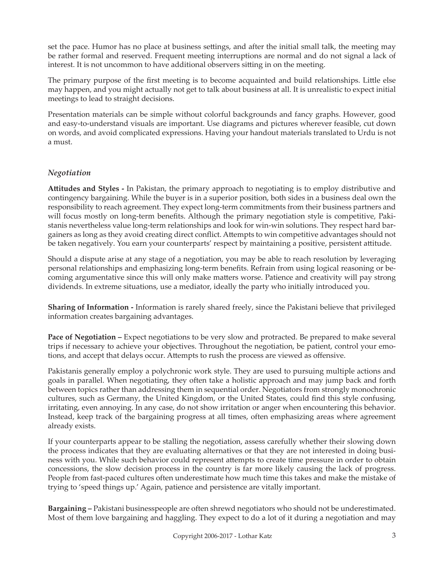set the pace. Humor has no place at business settings, and after the initial small talk, the meeting may be rather formal and reserved. Frequent meeting interruptions are normal and do not signal a lack of interest. It is not uncommon to have additional observers sitting in on the meeting.

The primary purpose of the first meeting is to become acquainted and build relationships. Little else may happen, and you might actually not get to talk about business at all. It is unrealistic to expect initial meetings to lead to straight decisions.

Presentation materials can be simple without colorful backgrounds and fancy graphs. However, good and easy-to-understand visuals are important. Use diagrams and pictures wherever feasible, cut down on words, and avoid complicated expressions. Having your handout materials translated to Urdu is not a must.

# *Negotiation*

**Attitudes and Styles -** In Pakistan, the primary approach to negotiating is to employ distributive and contingency bargaining. While the buyer is in a superior position, both sides in a business deal own the responsibility to reach agreement. They expect long-term commitments from their business partners and will focus mostly on long-term benefits. Although the primary negotiation style is competitive, Pakistanis nevertheless value long-term relationships and look for win-win solutions. They respect hard bargainers as long as they avoid creating direct conflict. Attempts to win competitive advantages should not be taken negatively. You earn your counterparts' respect by maintaining a positive, persistent attitude.

Should a dispute arise at any stage of a negotiation, you may be able to reach resolution by leveraging personal relationships and emphasizing long-term benefits. Refrain from using logical reasoning or becoming argumentative since this will only make matters worse. Patience and creativity will pay strong dividends. In extreme situations, use a mediator, ideally the party who initially introduced you.

**Sharing of Information -** Information is rarely shared freely, since the Pakistani believe that privileged information creates bargaining advantages.

**Pace of Negotiation –** Expect negotiations to be very slow and protracted. Be prepared to make several trips if necessary to achieve your objectives. Throughout the negotiation, be patient, control your emotions, and accept that delays occur. Attempts to rush the process are viewed as offensive.

Pakistanis generally employ a polychronic work style. They are used to pursuing multiple actions and goals in parallel. When negotiating, they often take a holistic approach and may jump back and forth between topics rather than addressing them in sequential order. Negotiators from strongly monochronic cultures, such as Germany, the United Kingdom, or the United States, could find this style confusing, irritating, even annoying. In any case, do not show irritation or anger when encountering this behavior. Instead, keep track of the bargaining progress at all times, often emphasizing areas where agreement already exists.

If your counterparts appear to be stalling the negotiation, assess carefully whether their slowing down the process indicates that they are evaluating alternatives or that they are not interested in doing business with you. While such behavior could represent attempts to create time pressure in order to obtain concessions, the slow decision process in the country is far more likely causing the lack of progress. People from fast-paced cultures often underestimate how much time this takes and make the mistake of trying to 'speed things up.' Again, patience and persistence are vitally important.

**Bargaining –** Pakistani businesspeople are often shrewd negotiators who should not be underestimated. Most of them love bargaining and haggling. They expect to do a lot of it during a negotiation and may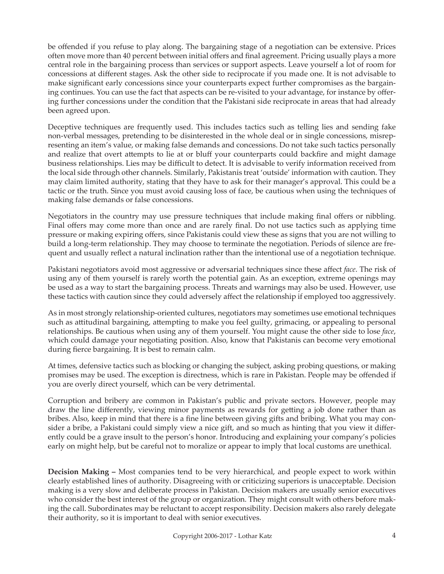be offended if you refuse to play along. The bargaining stage of a negotiation can be extensive. Prices often move more than 40 percent between initial offers and final agreement. Pricing usually plays a more central role in the bargaining process than services or support aspects. Leave yourself a lot of room for concessions at different stages. Ask the other side to reciprocate if you made one. It is not advisable to make significant early concessions since your counterparts expect further compromises as the bargaining continues. You can use the fact that aspects can be re-visited to your advantage, for instance by offering further concessions under the condition that the Pakistani side reciprocate in areas that had already been agreed upon.

Deceptive techniques are frequently used. This includes tactics such as telling lies and sending fake non-verbal messages, pretending to be disinterested in the whole deal or in single concessions, misrepresenting an item's value, or making false demands and concessions. Do not take such tactics personally and realize that overt attempts to lie at or bluff your counterparts could backfire and might damage business relationships. Lies may be difficult to detect. It is advisable to verify information received from the local side through other channels. Similarly, Pakistanis treat 'outside' information with caution. They may claim limited authority, stating that they have to ask for their manager's approval. This could be a tactic or the truth. Since you must avoid causing loss of face, be cautious when using the techniques of making false demands or false concessions.

Negotiators in the country may use pressure techniques that include making final offers or nibbling. Final offers may come more than once and are rarely final. Do not use tactics such as applying time pressure or making expiring offers, since Pakistanis could view these as signs that you are not willing to build a long-term relationship. They may choose to terminate the negotiation. Periods of silence are frequent and usually reflect a natural inclination rather than the intentional use of a negotiation technique.

Pakistani negotiators avoid most aggressive or adversarial techniques since these affect *face*. The risk of using any of them yourself is rarely worth the potential gain. As an exception, extreme openings may be used as a way to start the bargaining process. Threats and warnings may also be used. However, use these tactics with caution since they could adversely affect the relationship if employed too aggressively.

As in most strongly relationship-oriented cultures, negotiators may sometimes use emotional techniques such as attitudinal bargaining, attempting to make you feel guilty, grimacing, or appealing to personal relationships. Be cautious when using any of them yourself. You might cause the other side to lose *face*, which could damage your negotiating position. Also, know that Pakistanis can become very emotional during fierce bargaining. It is best to remain calm.

At times, defensive tactics such as blocking or changing the subject, asking probing questions, or making promises may be used. The exception is directness, which is rare in Pakistan. People may be offended if you are overly direct yourself, which can be very detrimental.

Corruption and bribery are common in Pakistan's public and private sectors. However, people may draw the line differently, viewing minor payments as rewards for getting a job done rather than as bribes. Also, keep in mind that there is a fine line between giving gifts and bribing. What you may consider a bribe, a Pakistani could simply view a nice gift, and so much as hinting that you view it differently could be a grave insult to the person's honor. Introducing and explaining your company's policies early on might help, but be careful not to moralize or appear to imply that local customs are unethical.

**Decision Making –** Most companies tend to be very hierarchical, and people expect to work within clearly established lines of authority. Disagreeing with or criticizing superiors is unacceptable. Decision making is a very slow and deliberate process in Pakistan. Decision makers are usually senior executives who consider the best interest of the group or organization. They might consult with others before making the call. Subordinates may be reluctant to accept responsibility. Decision makers also rarely delegate their authority, so it is important to deal with senior executives.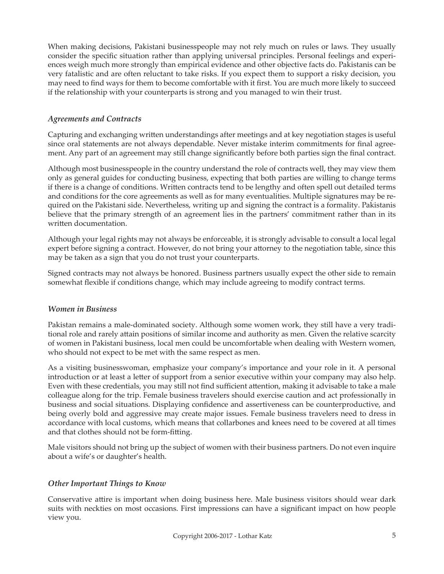When making decisions, Pakistani businesspeople may not rely much on rules or laws. They usually consider the specific situation rather than applying universal principles. Personal feelings and experiences weigh much more strongly than empirical evidence and other objective facts do. Pakistanis can be very fatalistic and are often reluctant to take risks. If you expect them to support a risky decision, you may need to find ways for them to become comfortable with it first. You are much more likely to succeed if the relationship with your counterparts is strong and you managed to win their trust.

## *Agreements and Contracts*

Capturing and exchanging written understandings after meetings and at key negotiation stages is useful since oral statements are not always dependable. Never mistake interim commitments for final agreement. Any part of an agreement may still change significantly before both parties sign the final contract.

Although most businesspeople in the country understand the role of contracts well, they may view them only as general guides for conducting business, expecting that both parties are willing to change terms if there is a change of conditions. Written contracts tend to be lengthy and often spell out detailed terms and conditions for the core agreements as well as for many eventualities. Multiple signatures may be required on the Pakistani side. Nevertheless, writing up and signing the contract is a formality. Pakistanis believe that the primary strength of an agreement lies in the partners' commitment rather than in its written documentation.

Although your legal rights may not always be enforceable, it is strongly advisable to consult a local legal expert before signing a contract. However, do not bring your attorney to the negotiation table, since this may be taken as a sign that you do not trust your counterparts.

Signed contracts may not always be honored. Business partners usually expect the other side to remain somewhat flexible if conditions change, which may include agreeing to modify contract terms.

### *Women in Business*

Pakistan remains a male-dominated society. Although some women work, they still have a very traditional role and rarely attain positions of similar income and authority as men. Given the relative scarcity of women in Pakistani business, local men could be uncomfortable when dealing with Western women, who should not expect to be met with the same respect as men.

As a visiting businesswoman, emphasize your company's importance and your role in it. A personal introduction or at least a letter of support from a senior executive within your company may also help. Even with these credentials, you may still not find sufficient attention, making it advisable to take a male colleague along for the trip. Female business travelers should exercise caution and act professionally in business and social situations. Displaying confidence and assertiveness can be counterproductive, and being overly bold and aggressive may create major issues. Female business travelers need to dress in accordance with local customs, which means that collarbones and knees need to be covered at all times and that clothes should not be form-fitting.

Male visitors should not bring up the subject of women with their business partners. Do not even inquire about a wife's or daughter's health.

### *Other Important Things to Know*

Conservative attire is important when doing business here. Male business visitors should wear dark suits with neckties on most occasions. First impressions can have a significant impact on how people view you.